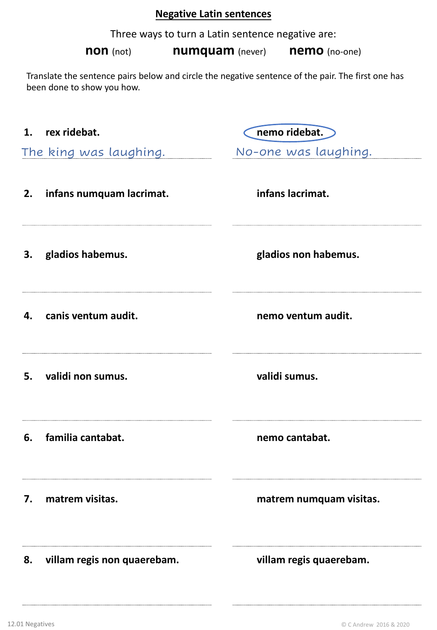# **Negative Latin sentences**

Three ways to turn a Latin sentence negative are:

**non** (not) **numquam** (never) **nemo** (no-one)

Translate the sentence pairs below and circle the negative sentence of the pair. The first one has been done to show you how.

|    | 1. rex ridebat.             | nemo ridebat.           |
|----|-----------------------------|-------------------------|
|    | The king was laughing.      | No-one was laughing.    |
|    | 2. infans numquam lacrimat. | infans lacrimat.        |
|    | 3. gladios habemus.         | gladios non habemus.    |
| 4. | canis ventum audit.         | nemo ventum audit.      |
| 5. | validi non sumus.           | validi sumus.           |
| 6. | familia cantabat.           | nemo cantabat.          |
| 7. | matrem visitas.             | matrem numquam visitas. |
| 8. | villam regis non quaerebam. | villam regis quaerebam. |